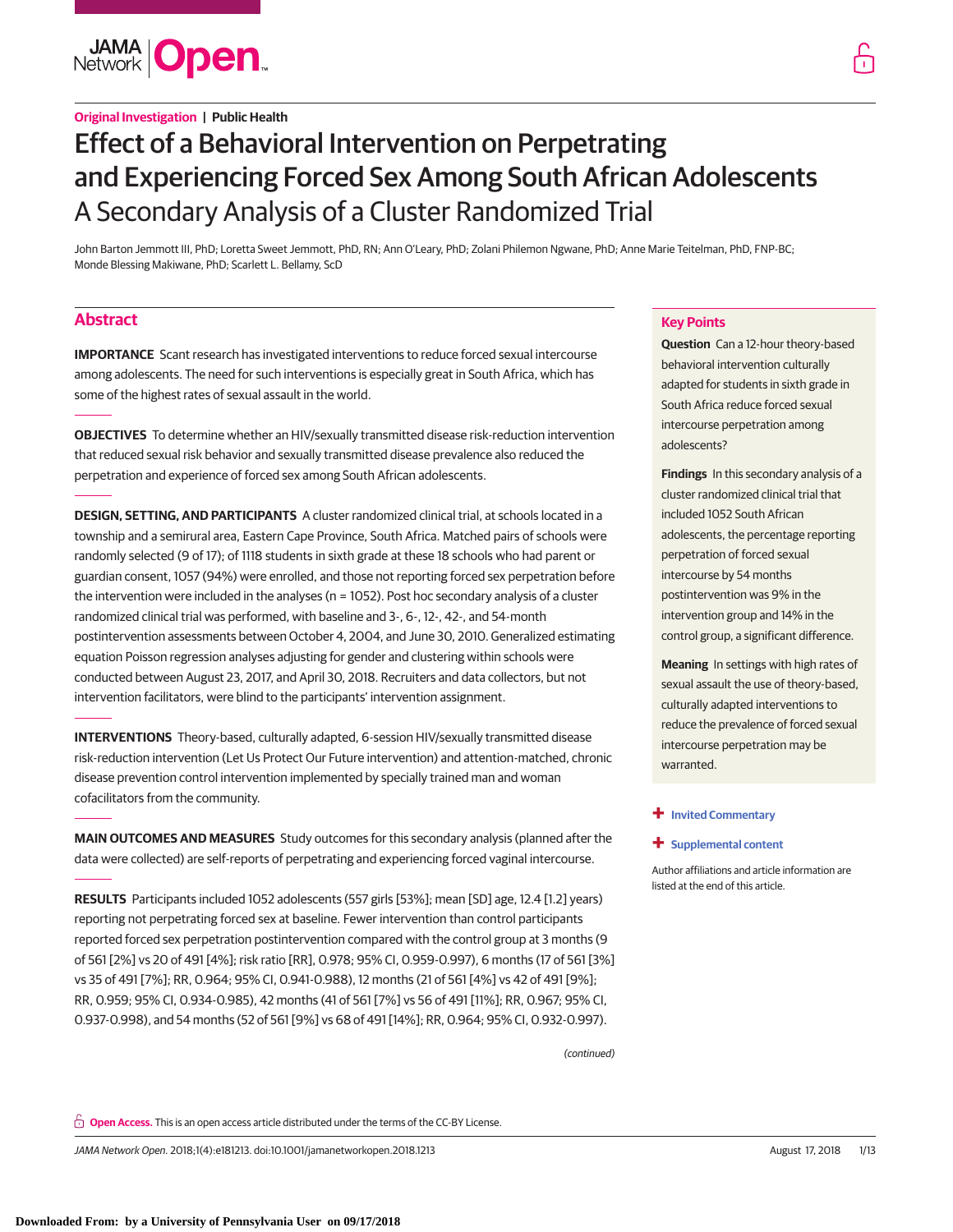**JAMA Open** 

# **Original Investigation | Public Health**

# Effect of a Behavioral Intervention on Perpetrating and Experiencing Forced Sex Among South African Adolescents A Secondary Analysis of a Cluster Randomized Trial

John Barton Jemmott III, PhD; Loretta Sweet Jemmott, PhD, RN; Ann O'Leary, PhD; Zolani Philemon Ngwane, PhD; Anne Marie Teitelman, PhD, FNP-BC; Monde Blessing Makiwane, PhD; Scarlett L. Bellamy, ScD

# **Abstract**

**IMPORTANCE** Scant research has investigated interventions to reduce forced sexual intercourse among adolescents. The need for such interventions is especially great in South Africa, which has some of the highest rates of sexual assault in the world.

**OBJECTIVES** To determine whether an HIV/sexually transmitted disease risk-reduction intervention that reduced sexual risk behavior and sexually transmitted disease prevalence also reduced the perpetration and experience of forced sex among South African adolescents.

**DESIGN, SETTING, AND PARTICIPANTS** A cluster randomized clinical trial, at schools located in a township and a semirural area, Eastern Cape Province, South Africa. Matched pairs of schools were randomly selected (9 of 17); of 1118 students in sixth grade at these 18 schools who had parent or guardian consent, 1057 (94%) were enrolled, and those not reporting forced sex perpetration before the intervention were included in the analyses (n = 1052). Post hoc secondary analysis of a cluster randomized clinical trial was performed, with baseline and 3-, 6-, 12-, 42-, and 54-month postintervention assessments between October 4, 2004, and June 30, 2010. Generalized estimating equation Poisson regression analyses adjusting for gender and clustering within schools were conducted between August 23, 2017, and April 30, 2018. Recruiters and data collectors, but not intervention facilitators, were blind to the participants' intervention assignment.

**INTERVENTIONS** Theory-based, culturally adapted, 6-session HIV/sexually transmitted disease risk-reduction intervention (Let Us Protect Our Future intervention) and attention-matched, chronic disease prevention control intervention implemented by specially trained man and woman cofacilitators from the community.

**MAIN OUTCOMES AND MEASURES** Study outcomes for this secondary analysis (planned after the data were collected) are self-reports of perpetrating and experiencing forced vaginal intercourse.

**RESULTS** Participants included 1052 adolescents (557 girls [53%]; mean [SD] age, 12.4 [1.2] years) reporting not perpetrating forced sex at baseline. Fewer intervention than control participants reported forced sex perpetration postintervention compared with the control group at 3 months (9 of 561 [2%] vs 20 of 491 [4%]; risk ratio [RR], 0.978; 95% CI, 0.959-0.997), 6 months (17 of 561 [3%] vs 35 of 491 [7%]; RR, 0.964; 95% CI, 0.941-0.988), 12 months (21 of 561 [4%] vs 42 of 491 [9%]; RR, 0.959; 95% CI, 0.934-0.985), 42 months (41 of 561 [7%] vs 56 of 491 [11%]; RR, 0.967; 95% CI, 0.937-0.998), and 54 months (52 of 561 [9%] vs 68 of 491 [14%]; RR, 0.964; 95% CI, 0.932-0.997).

(continued)

# **Key Points**

**Question** Can a 12-hour theory-based behavioral intervention culturally adapted for students in sixth grade in South Africa reduce forced sexual intercourse perpetration among adolescents?

**Findings** In this secondary analysis of a cluster randomized clinical trial that included 1052 South African adolescents, the percentage reporting perpetration of forced sexual intercourse by 54 months postintervention was 9% in the intervention group and 14% in the control group, a significant difference.

**Meaning** In settings with high rates of sexual assault the use of theory-based, culturally adapted interventions to reduce the prevalence of forced sexual intercourse perpetration may be warranted.

# **+ [Invited Commentary](https://jama.jamanetwork.com/article.aspx?doi=10.1001/jamanetworkopen.2018.1222&utm_campaign=articlePDF%26utm_medium=articlePDFlink%26utm_source=articlePDF%26utm_content=jamanetworkopen.2018.1213)**

**+ [Supplemental content](https://jama.jamanetwork.com/article.aspx?doi=10.1001/jamanetworkopen.2018.1213&utm_campaign=articlePDF%26utm_medium=articlePDFlink%26utm_source=articlePDF%26utm_content=jamanetworkopen.2018.1213)**

Author affiliations and article information are listed at the end of this article.

**Open Access.** This is an open access article distributed under the terms of the CC-BY License.

JAMA Network Open. 2018;1(4):e181213. doi:10.1001/jamanetworkopen.2018.1213 August 17, 2018 1/13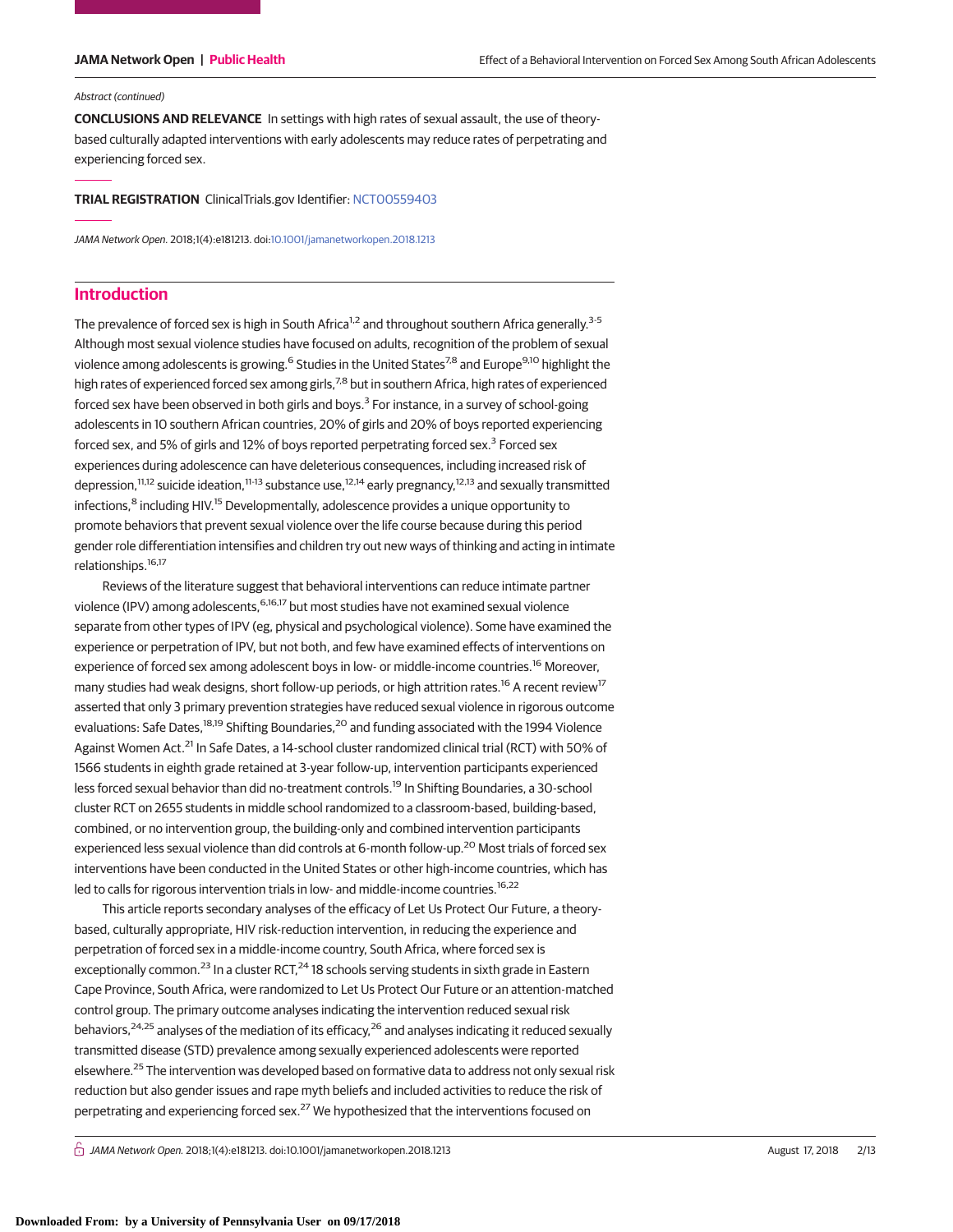### Abstract (continued)

**CONCLUSIONS AND RELEVANCE** In settings with high rates of sexual assault, the use of theorybased culturally adapted interventions with early adolescents may reduce rates of perpetrating and experiencing forced sex.

**TRIAL REGISTRATION** ClinicalTrials.gov Identifier: [NCT00559403](https://clinicaltrials.gov/show/NCT00559403)

JAMA Network Open. 2018;1(4):e181213. doi[:10.1001/jamanetworkopen.2018.1213](https://jama.jamanetwork.com/article.aspx?doi=10.1001/jamanetworkopen.2018.1213&utm_campaign=articlePDF%26utm_medium=articlePDFlink%26utm_source=articlePDF%26utm_content=jamanetworkopen.2018.1213)

# **Introduction**

The prevalence of forced sex is high in South Africa<sup>1,2</sup> and throughout southern Africa generally.<sup>3-5</sup> Although most sexual violence studies have focused on adults, recognition of the problem of sexual violence among adolescents is growing.<sup>6</sup> Studies in the United States<sup>7,8</sup> and Europe<sup>9,10</sup> highlight the high rates of experienced forced sex among girls,<sup>7,8</sup> but in southern Africa, high rates of experienced forced sex have been observed in both girls and boys.<sup>3</sup> For instance, in a survey of school-going adolescents in 10 southern African countries, 20% of girls and 20% of boys reported experiencing forced sex, and 5% of girls and 12% of boys reported perpetrating forced sex.<sup>3</sup> Forced sex experiences during adolescence can have deleterious consequences, including increased risk of depression,<sup>11,12</sup> suicide ideation,<sup>11-13</sup> substance use,<sup>12,14</sup> early pregnancy,<sup>12,13</sup> and sexually transmitted infections, <sup>8</sup> including HIV.<sup>15</sup> Developmentally, adolescence provides a unique opportunity to promote behaviors that prevent sexual violence over the life course because during this period gender role differentiation intensifies and children try out new ways of thinking and acting in intimate relationships.<sup>16,17</sup>

Reviews of the literature suggest that behavioral interventions can reduce intimate partner violence (IPV) among adolescents, <sup>6,16,17</sup> but most studies have not examined sexual violence separate from other types of IPV (eg, physical and psychological violence). Some have examined the experience or perpetration of IPV, but not both, and few have examined effects of interventions on experience of forced sex among adolescent boys in low- or middle-income countries.<sup>16</sup> Moreover, many studies had weak designs, short follow-up periods, or high attrition rates.<sup>16</sup> A recent review<sup>17</sup> asserted that only 3 primary prevention strategies have reduced sexual violence in rigorous outcome evaluations: Safe Dates,<sup>18,19</sup> Shifting Boundaries,<sup>20</sup> and funding associated with the 1994 Violence Against Women Act.<sup>21</sup> In Safe Dates, a 14-school cluster randomized clinical trial (RCT) with 50% of 1566 students in eighth grade retained at 3-year follow-up, intervention participants experienced less forced sexual behavior than did no-treatment controls.<sup>19</sup> In Shifting Boundaries, a 30-school cluster RCT on 2655 students in middle school randomized to a classroom-based, building-based, combined, or no intervention group, the building-only and combined intervention participants experienced less sexual violence than did controls at 6-month follow-up.<sup>20</sup> Most trials of forced sex interventions have been conducted in the United States or other high-income countries, which has led to calls for rigorous intervention trials in low- and middle-income countries.<sup>16,22</sup>

This article reports secondary analyses of the efficacy of Let Us Protect Our Future, a theorybased, culturally appropriate, HIV risk-reduction intervention, in reducing the experience and perpetration of forced sex in a middle-income country, South Africa, where forced sex is exceptionally common.<sup>23</sup> In a cluster RCT,<sup>24</sup> 18 schools serving students in sixth grade in Eastern Cape Province, South Africa, were randomized to Let Us Protect Our Future or an attention-matched control group. The primary outcome analyses indicating the intervention reduced sexual risk behaviors,  $24,25$  analyses of the mediation of its efficacy,  $26$  and analyses indicating it reduced sexually transmitted disease (STD) prevalence among sexually experienced adolescents were reported elsewhere.<sup>25</sup> The intervention was developed based on formative data to address not only sexual risk reduction but also gender issues and rape myth beliefs and included activities to reduce the risk of perpetrating and experiencing forced sex.<sup>27</sup> We hypothesized that the interventions focused on

 $\bigcap$  JAMA Network Open. 2018;1(4):e181213. doi:10.1001/jamanetworkopen.2018.1213 August 17, 2018 2/13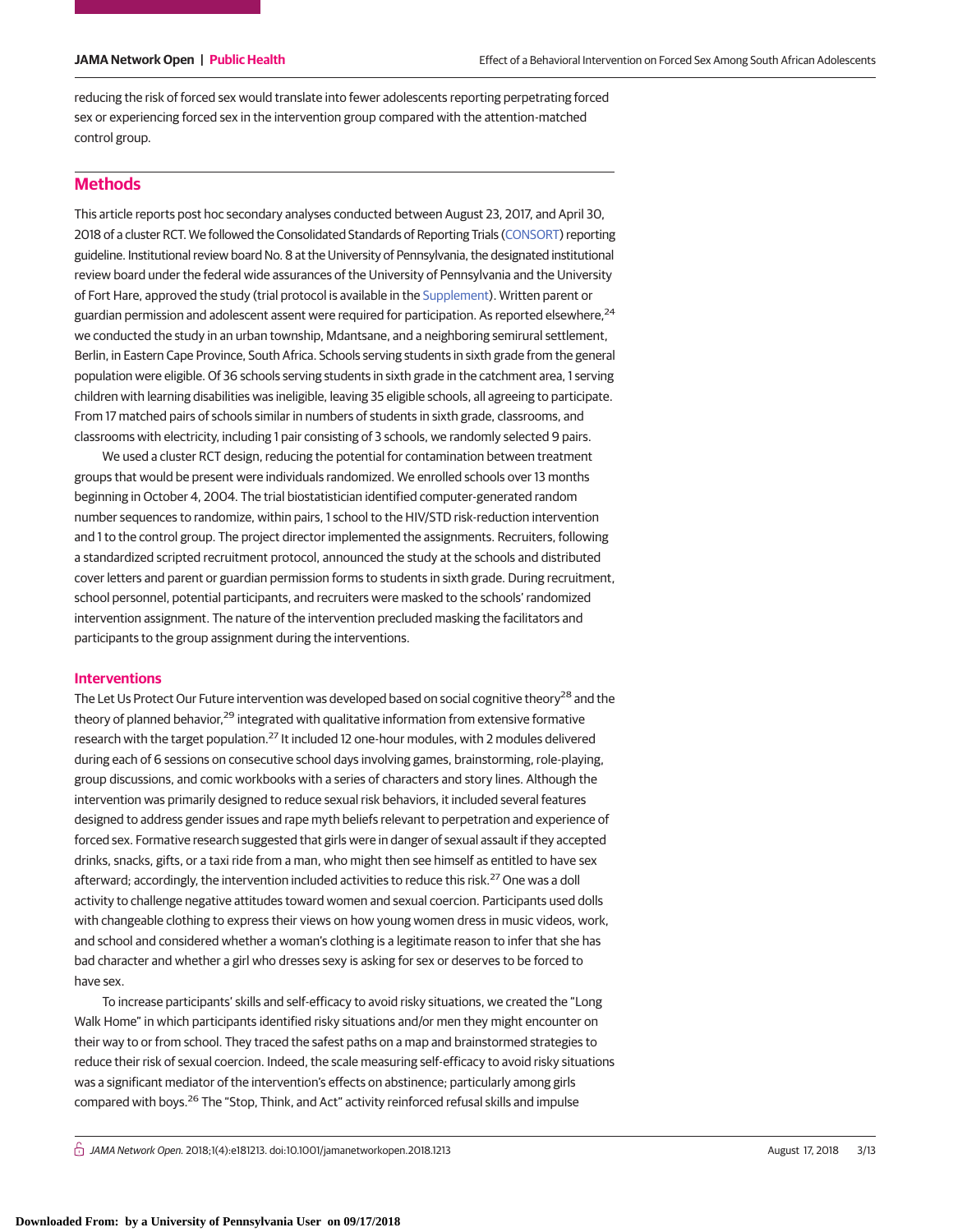reducing the risk of forced sex would translate into fewer adolescents reporting perpetrating forced sex or experiencing forced sex in the intervention group compared with the attention-matched control group.

# **Methods**

This article reports post hoc secondary analyses conducted between August 23, 2017, and April 30, 2018 of a cluster RCT. We followed the Consolidated Standards of Reporting Trials [\(CONSORT\)](http://www.equator-network.org/reporting-guidelines/consort/) reporting guideline. Institutional review board No. 8 at the University of Pennsylvania, the designated institutional review board under the federal wide assurances of the University of Pennsylvania and the University of Fort Hare, approved the study (trial protocol is available in the [Supplement\)](https://jama.jamanetwork.com/article.aspx?doi=10.1001/jamanetworkopen.2018.1213&utm_campaign=articlePDF%26utm_medium=articlePDFlink%26utm_source=articlePDF%26utm_content=jamanetworkopen.2018.1213). Written parent or guardian permission and adolescent assent were required for participation. As reported elsewhere,<sup>24</sup> we conducted the study in an urban township, Mdantsane, and a neighboring semirural settlement, Berlin, in Eastern Cape Province, South Africa. Schools serving students in sixth grade from the general population were eligible. Of 36 schools serving students in sixth grade in the catchment area, 1 serving children with learning disabilities was ineligible, leaving 35 eligible schools, all agreeing to participate. From 17 matched pairs of schools similar in numbers of students in sixth grade, classrooms, and classrooms with electricity, including 1 pair consisting of 3 schools, we randomly selected 9 pairs.

We used a cluster RCT design, reducing the potential for contamination between treatment groups that would be present were individuals randomized. We enrolled schools over 13 months beginning in October 4, 2004. The trial biostatistician identified computer-generated random number sequences to randomize, within pairs, 1 school to the HIV/STD risk-reduction intervention and 1 to the control group. The project director implemented the assignments. Recruiters, following a standardized scripted recruitment protocol, announced the study at the schools and distributed cover letters and parent or guardian permission forms to students in sixth grade. During recruitment, school personnel, potential participants, and recruiters were masked to the schools' randomized intervention assignment. The nature of the intervention precluded masking the facilitators and participants to the group assignment during the interventions.

# **Interventions**

The Let Us Protect Our Future intervention was developed based on social cognitive theory<sup>28</sup> and the theory of planned behavior,<sup>29</sup> integrated with qualitative information from extensive formative research with the target population.<sup>27</sup> It included 12 one-hour modules, with 2 modules delivered during each of 6 sessions on consecutive school days involving games, brainstorming, role-playing, group discussions, and comic workbooks with a series of characters and story lines. Although the intervention was primarily designed to reduce sexual risk behaviors, it included several features designed to address gender issues and rape myth beliefs relevant to perpetration and experience of forced sex. Formative research suggested that girls were in danger of sexual assault if they accepted drinks, snacks, gifts, or a taxi ride from a man, who might then see himself as entitled to have sex afterward; accordingly, the intervention included activities to reduce this risk.<sup>27</sup> One was a doll activity to challenge negative attitudes toward women and sexual coercion. Participants used dolls with changeable clothing to express their views on how young women dress in music videos, work, and school and considered whether a woman's clothing is a legitimate reason to infer that she has bad character and whether a girl who dresses sexy is asking for sex or deserves to be forced to have sex.

To increase participants' skills and self-efficacy to avoid risky situations, we created the "Long Walk Home" in which participants identified risky situations and/or men they might encounter on their way to or from school. They traced the safest paths on a map and brainstormed strategies to reduce their risk of sexual coercion. Indeed, the scale measuring self-efficacy to avoid risky situations was a significant mediator of the intervention's effects on abstinence; particularly among girls compared with boys.<sup>26</sup> The "Stop, Think, and Act" activity reinforced refusal skills and impulse

 $\bigcap$  JAMA Network Open. 2018;1(4):e181213. doi:10.1001/jamanetworkopen.2018.1213 August 17, 2018 August 17, 2018 3/13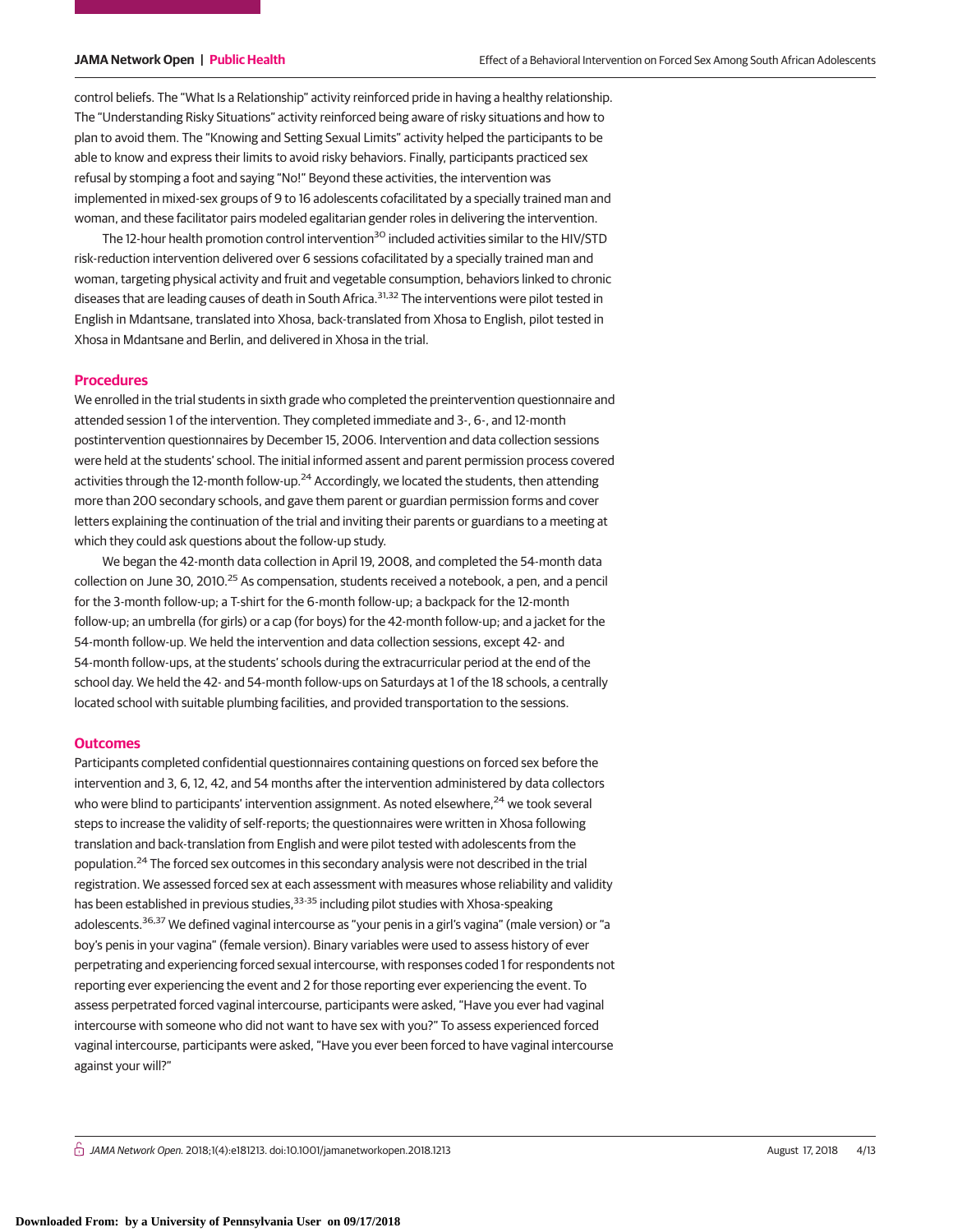control beliefs. The "What Is a Relationship" activity reinforced pride in having a healthy relationship. The "Understanding Risky Situations" activity reinforced being aware of risky situations and how to plan to avoid them. The "Knowing and Setting Sexual Limits" activity helped the participants to be able to know and express their limits to avoid risky behaviors. Finally, participants practiced sex refusal by stomping a foot and saying "No!" Beyond these activities, the intervention was implemented in mixed-sex groups of 9 to 16 adolescents cofacilitated by a specially trained man and woman, and these facilitator pairs modeled egalitarian gender roles in delivering the intervention.

The 12-hour health promotion control intervention<sup>30</sup> included activities similar to the HIV/STD risk-reduction intervention delivered over 6 sessions cofacilitated by a specially trained man and woman, targeting physical activity and fruit and vegetable consumption, behaviors linked to chronic diseases that are leading causes of death in South Africa.31,32 The interventions were pilot tested in English in Mdantsane, translated into Xhosa, back-translated from Xhosa to English, pilot tested in Xhosa in Mdantsane and Berlin, and delivered in Xhosa in the trial.

# **Procedures**

We enrolled in the trial students in sixth grade who completed the preintervention questionnaire and attended session 1 of the intervention. They completed immediate and 3-, 6-, and 12-month postintervention questionnaires by December 15, 2006. Intervention and data collection sessions were held at the students' school. The initial informed assent and parent permission process covered activities through the 12-month follow-up.<sup>24</sup> Accordingly, we located the students, then attending more than 200 secondary schools, and gave them parent or guardian permission forms and cover letters explaining the continuation of the trial and inviting their parents or guardians to a meeting at which they could ask questions about the follow-up study.

We began the 42-month data collection in April 19, 2008, and completed the 54-month data collection on June 30, 2010.<sup>25</sup> As compensation, students received a notebook, a pen, and a pencil for the 3-month follow-up; a T-shirt for the 6-month follow-up; a backpack for the 12-month follow-up; an umbrella (for girls) or a cap (for boys) for the 42-month follow-up; and a jacket for the 54-month follow-up. We held the intervention and data collection sessions, except 42- and 54-month follow-ups, at the students' schools during the extracurricular period at the end of the school day. We held the 42- and 54-month follow-ups on Saturdays at 1 of the 18 schools, a centrally located school with suitable plumbing facilities, and provided transportation to the sessions.

# **Outcomes**

Participants completed confidential questionnaires containing questions on forced sex before the intervention and 3, 6, 12, 42, and 54 months after the intervention administered by data collectors who were blind to participants' intervention assignment. As noted elsewhere, $24$  we took several steps to increase the validity of self-reports; the questionnaires were written in Xhosa following translation and back-translation from English and were pilot tested with adolescents from the population.<sup>24</sup> The forced sex outcomes in this secondary analysis were not described in the trial registration. We assessed forced sex at each assessment with measures whose reliability and validity has been established in previous studies,<sup>33-35</sup> including pilot studies with Xhosa-speaking adolescents.<sup>36,37</sup> We defined vaginal intercourse as "your penis in a girl's vagina" (male version) or "a boy's penis in your vagina" (female version). Binary variables were used to assess history of ever perpetrating and experiencing forced sexual intercourse, with responses coded 1 for respondents not reporting ever experiencing the event and 2 for those reporting ever experiencing the event. To assess perpetrated forced vaginal intercourse, participants were asked, "Have you ever had vaginal intercourse with someone who did not want to have sex with you?" To assess experienced forced vaginal intercourse, participants were asked, "Have you ever been forced to have vaginal intercourse against your will?"

 $\bigcap$  JAMA Network Open. 2018;1(4):e181213. doi:10.1001/jamanetworkopen.2018.1213 August 17, 2018 4/13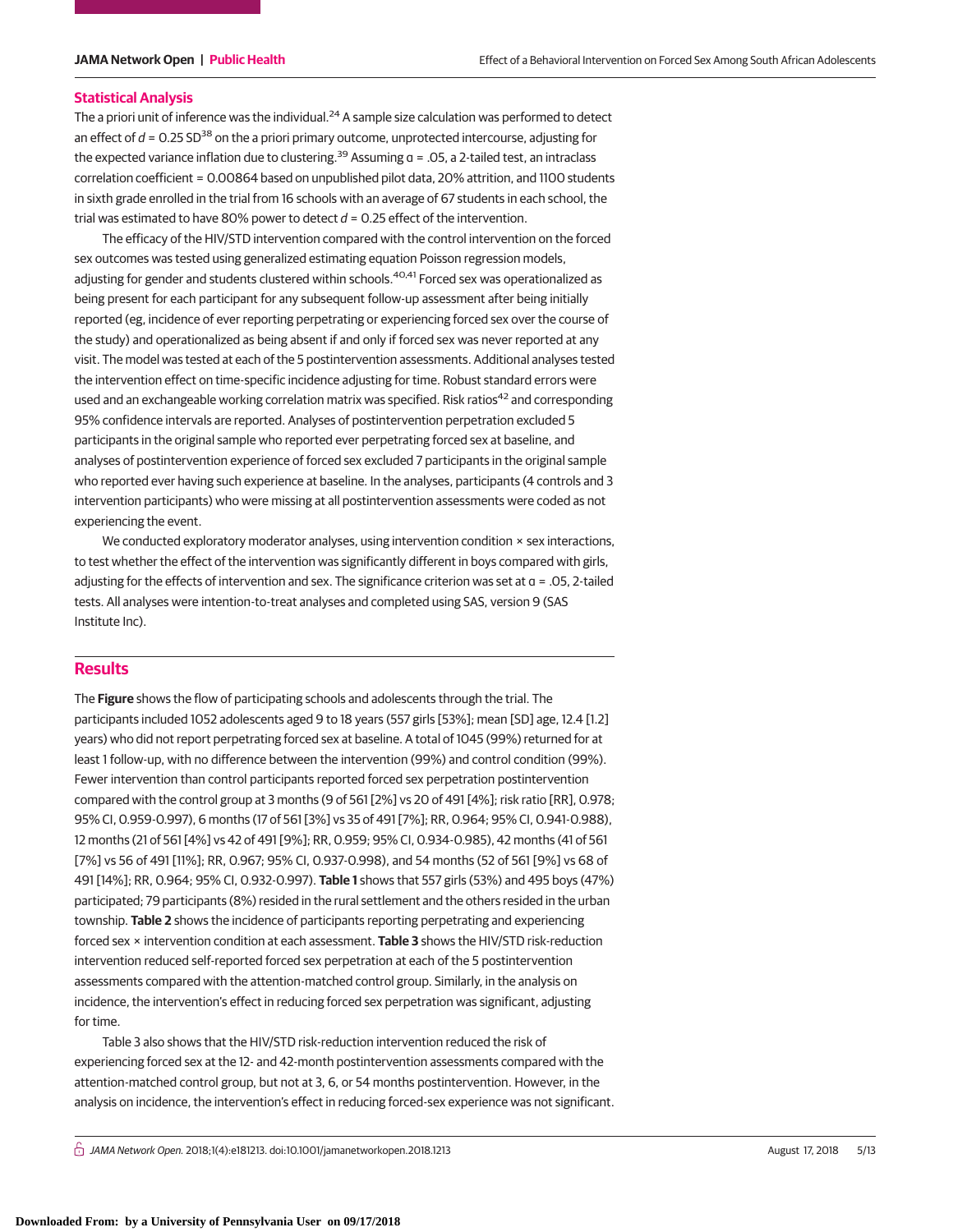# **Statistical Analysis**

The a priori unit of inference was the individual.<sup>24</sup> A sample size calculation was performed to detect an effect of  $d = 0.25 SD^{38}$  on the a priori primary outcome, unprotected intercourse, adjusting for the expected variance inflation due to clustering.<sup>39</sup> Assuming  $a = 0.05$ , a 2-tailed test, an intraclass correlation coefficient = 0.00864 based on unpublished pilot data, 20% attrition, and 1100 students in sixth grade enrolled in the trial from 16 schools with an average of 67 students in each school, the trial was estimated to have 80% power to detect  $d = 0.25$  effect of the intervention.

The efficacy of the HIV/STD intervention compared with the control intervention on the forced sex outcomes was tested using generalized estimating equation Poisson regression models, adjusting for gender and students clustered within schools.<sup>40,41</sup> Forced sex was operationalized as being present for each participant for any subsequent follow-up assessment after being initially reported (eg, incidence of ever reporting perpetrating or experiencing forced sex over the course of the study) and operationalized as being absent if and only if forced sex was never reported at any visit. The model was tested at each of the 5 postintervention assessments. Additional analyses tested the intervention effect on time-specific incidence adjusting for time. Robust standard errors were used and an exchangeable working correlation matrix was specified. Risk ratios<sup>42</sup> and corresponding 95% confidence intervals are reported. Analyses of postintervention perpetration excluded 5 participants in the original sample who reported ever perpetrating forced sex at baseline, and analyses of postintervention experience of forced sex excluded 7 participants in the original sample who reported ever having such experience at baseline. In the analyses, participants (4 controls and 3 intervention participants) who were missing at all postintervention assessments were coded as not experiencing the event.

We conducted exploratory moderator analyses, using intervention condition  $\times$  sex interactions, to test whether the effect of the intervention was significantly different in boys compared with girls, adjusting for the effects of intervention and sex. The significance criterion was set at α = .05, 2-tailed tests. All analyses were intention-to-treat analyses and completed using SAS, version 9 (SAS Institute Inc).

# **Results**

The **Figure** shows the flow of participating schools and adolescents through the trial. The participants included 1052 adolescents aged 9 to 18 years (557 girls [53%]; mean [SD] age, 12.4 [1.2] years) who did not report perpetrating forced sex at baseline. A total of 1045 (99%) returned for at least 1 follow-up, with no difference between the intervention (99%) and control condition (99%). Fewer intervention than control participants reported forced sex perpetration postintervention compared with the control group at 3 months (9 of 561 [2%] vs 20 of 491 [4%]; risk ratio [RR], 0.978; 95% CI, 0.959-0.997), 6 months (17 of 561 [3%] vs 35 of 491 [7%]; RR, 0.964; 95% CI, 0.941-0.988), 12 months (21 of 561 [4%] vs 42 of 491 [9%]; RR, 0.959; 95% CI, 0.934-0.985), 42 months (41 of 561 [7%] vs 56 of 491 [11%]; RR, 0.967; 95% CI, 0.937-0.998), and 54 months (52 of 561 [9%] vs 68 of 491 [14%]; RR, 0.964; 95% CI, 0.932-0.997). **Table 1** shows that 557 girls (53%) and 495 boys (47%) participated; 79 participants (8%) resided in the rural settlement and the others resided in the urban township. **Table 2** shows the incidence of participants reporting perpetrating and experiencing forced sex × intervention condition at each assessment. **Table 3** shows the HIV/STD risk-reduction intervention reduced self-reported forced sex perpetration at each of the 5 postintervention assessments compared with the attention-matched control group. Similarly, in the analysis on incidence, the intervention's effect in reducing forced sex perpetration was significant, adjusting for time.

Table 3 also shows that the HIV/STD risk-reduction intervention reduced the risk of experiencing forced sex at the 12- and 42-month postintervention assessments compared with the attention-matched control group, but not at 3, 6, or 54 months postintervention. However, in the analysis on incidence, the intervention's effect in reducing forced-sex experience was not significant.

 $\bigcap$  JAMA Network Open. 2018;1(4):e181213. doi:10.1001/jamanetworkopen.2018.1213 August 17, 2018 5/13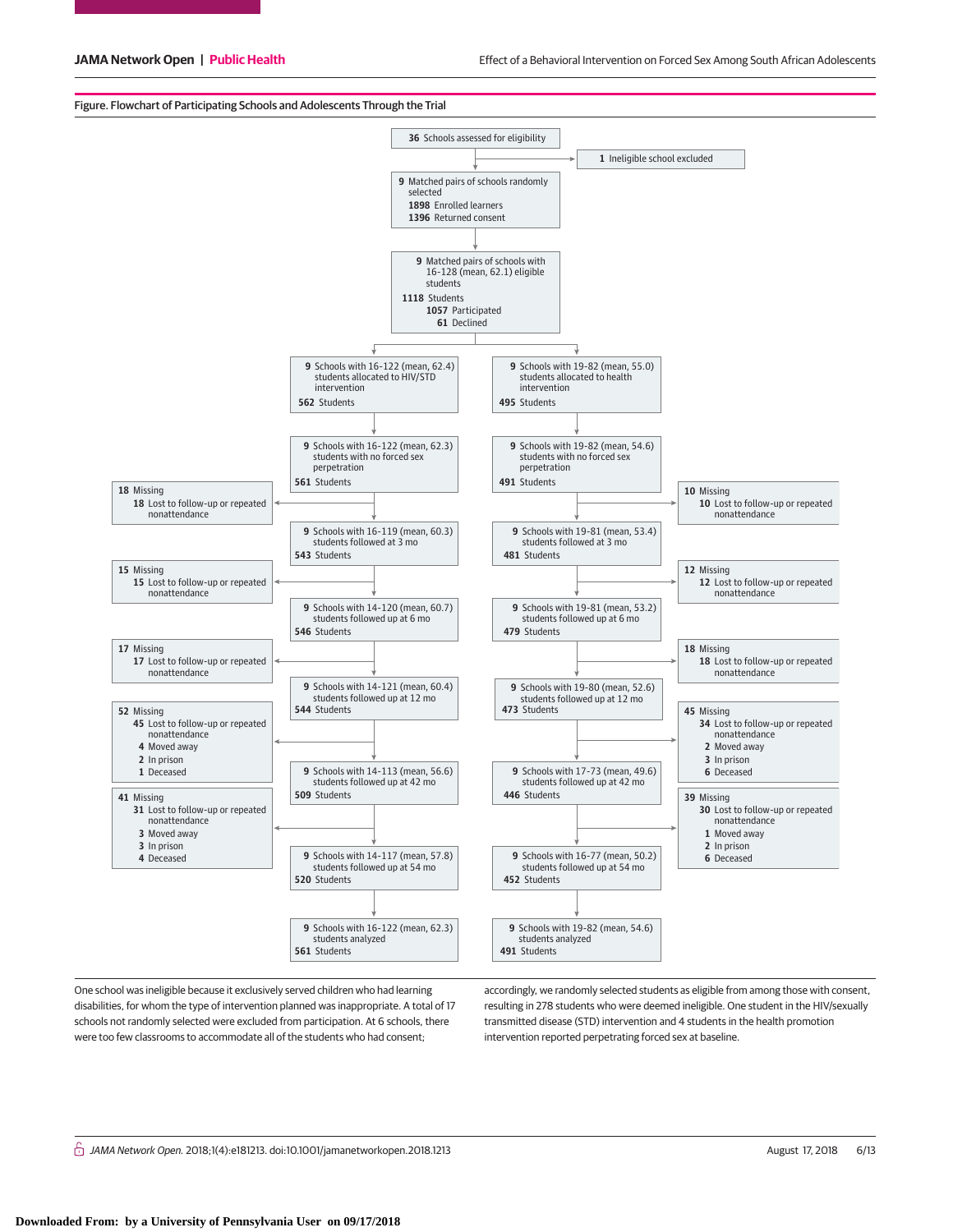



One school was ineligible because it exclusively served children who had learning disabilities, for whom the type of intervention planned was inappropriate. A total of 17 schools not randomly selected were excluded from participation. At 6 schools, there were too few classrooms to accommodate all of the students who had consent;

accordingly, we randomly selected students as eligible from among those with consent, resulting in 278 students who were deemed ineligible. One student in the HIV/sexually transmitted disease (STD) intervention and 4 students in the health promotion intervention reported perpetrating forced sex at baseline.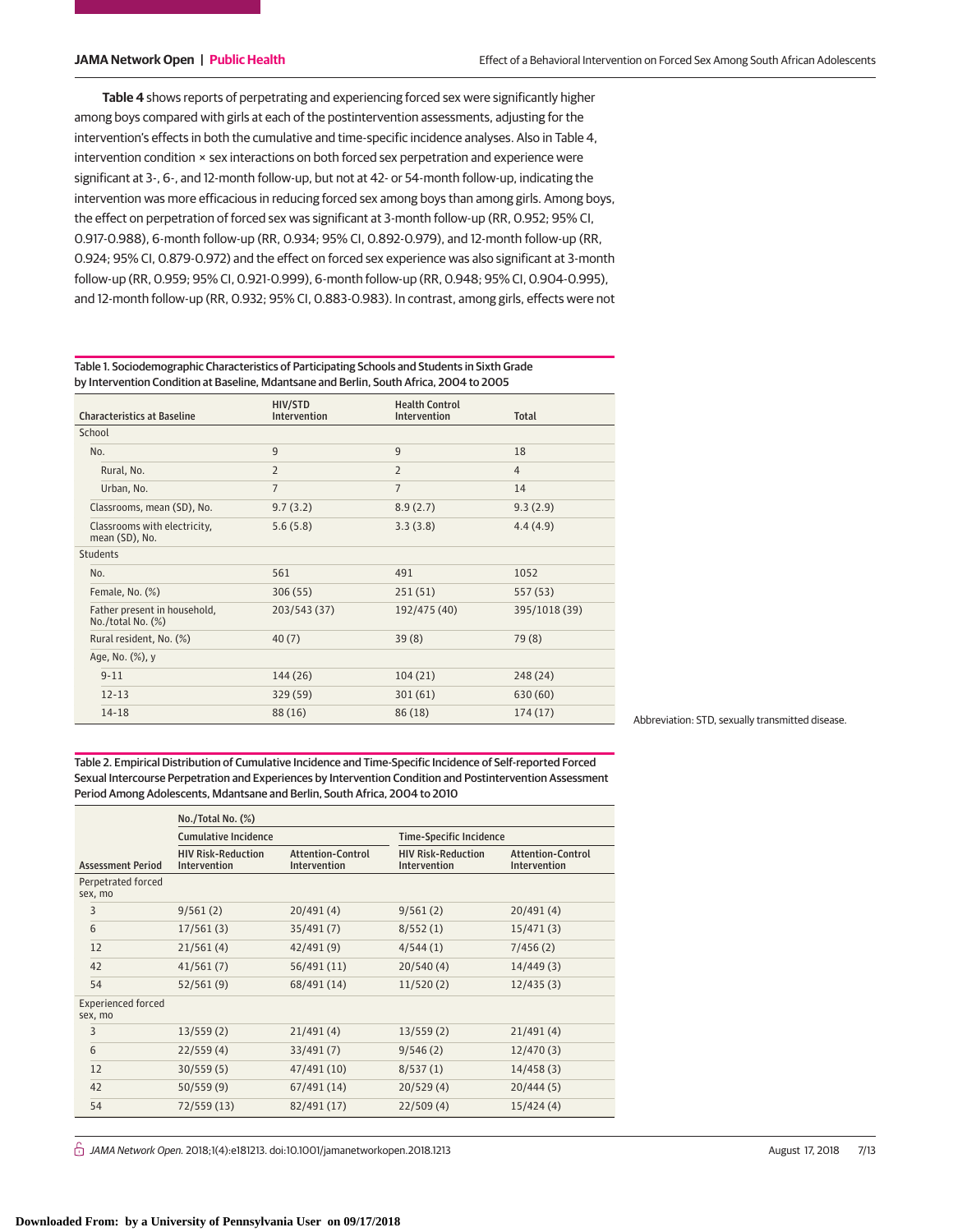$\overline{a}$ 

**Table 4** shows reports of perpetrating and experiencing forced sex were significantly higher among boys compared with girls at each of the postintervention assessments, adjusting for the intervention's effects in both the cumulative and time-specific incidence analyses. Also in Table 4, intervention condition × sex interactions on both forced sex perpetration and experience were significant at 3-, 6-, and 12-month follow-up, but not at 42- or 54-month follow-up, indicating the intervention was more efficacious in reducing forced sex among boys than among girls. Among boys, the effect on perpetration of forced sex was significant at 3-month follow-up (RR, 0.952; 95% CI, 0.917-0.988), 6-month follow-up (RR, 0.934; 95% CI, 0.892-0.979), and 12-month follow-up (RR, 0.924; 95% CI, 0.879-0.972) and the effect on forced sex experience was also significant at 3-month follow-up (RR, 0.959; 95% CI, 0.921-0.999), 6-month follow-up (RR, 0.948; 95% CI, 0.904-0.995), and 12-month follow-up (RR, 0.932; 95% CI, 0.883-0.983). In contrast, among girls, effects were not

Table 1. Sociodemographic Characteristics of Participating Schools and Students in Sixth Grade by Intervention Condition at Baseline, Mdantsane and Berlin, South Africa, 2004 to 2005

| <b>Characteristics at Baseline</b> |                                                   | HIV/STD<br>Intervention | <b>Health Control</b><br>Intervention | Total          |  |  |  |
|------------------------------------|---------------------------------------------------|-------------------------|---------------------------------------|----------------|--|--|--|
| School                             |                                                   |                         |                                       |                |  |  |  |
|                                    | No.                                               | 9                       | 9                                     | 18             |  |  |  |
|                                    | Rural, No.                                        | $\overline{2}$          | $\overline{2}$                        | $\overline{4}$ |  |  |  |
|                                    | Urban, No.                                        | $\overline{7}$          | 7                                     | 14             |  |  |  |
|                                    | Classrooms, mean (SD), No.                        | 9.7(3.2)                | 8.9(2.7)                              | 9.3(2.9)       |  |  |  |
|                                    | Classrooms with electricity,<br>mean (SD), No.    | 5.6(5.8)                | 3.3(3.8)                              | 4.4(4.9)       |  |  |  |
| <b>Students</b>                    |                                                   |                         |                                       |                |  |  |  |
|                                    | No.                                               | 561                     | 491                                   | 1052           |  |  |  |
|                                    | Female, No. (%)                                   | 306(55)                 | 251(51)                               | 557 (53)       |  |  |  |
|                                    | Father present in household,<br>No./total No. (%) | 203/543 (37)            | 192/475 (40)                          | 395/1018 (39)  |  |  |  |
|                                    | Rural resident, No. (%)                           | 40(7)                   | 39(8)                                 | 79(8)          |  |  |  |
| Age, No. (%), y                    |                                                   |                         |                                       |                |  |  |  |
|                                    | $9 - 11$                                          | 144 (26)                | 104(21)                               | 248 (24)       |  |  |  |
|                                    | $12 - 13$                                         | 329 (59)                | 301(61)                               | 630 (60)       |  |  |  |
|                                    | $14 - 18$                                         | 88 (16)                 | 86 (18)                               | 174(17)        |  |  |  |
|                                    |                                                   |                         |                                       |                |  |  |  |

14-18 88 (16) 86 (18) 174 (17) Abbreviation: STD, sexually transmitted disease.

Table 2. Empirical Distribution of Cumulative Incidence and Time-Specific Incidence of Self-reported Forced Sexual Intercourse Perpetration and Experiences by Intervention Condition and Postintervention Assessment Period Among Adolescents, Mdantsane and Berlin, South Africa, 2004 to 2010

|                                      | $No./Total No.$ $(\%)$                           |                                                 |                                           |                                          |
|--------------------------------------|--------------------------------------------------|-------------------------------------------------|-------------------------------------------|------------------------------------------|
|                                      | <b>Cumulative Incidence</b>                      |                                                 | <b>Time-Specific Incidence</b>            |                                          |
| <b>Assessment Period</b>             | <b>HIV Risk-Reduction</b><br><b>Intervention</b> | <b>Attention-Control</b><br><b>Intervention</b> | <b>HIV Risk-Reduction</b><br>Intervention | <b>Attention-Control</b><br>Intervention |
| Perpetrated forced<br>sex, mo        |                                                  |                                                 |                                           |                                          |
| 3                                    | 9/561(2)                                         | 20/491(4)                                       | 9/561(2)                                  | 20/491(4)                                |
| 6                                    | 17/561(3)                                        | 35/491(7)                                       | 8/552(1)                                  | 15/471(3)                                |
| 12                                   | 21/561(4)                                        | 42/491(9)                                       | 4/544(1)                                  | 7/456(2)                                 |
| 42                                   | 41/561(7)                                        | 56/491 (11)                                     | 20/540(4)                                 | 14/449(3)                                |
| 54                                   | 52/561(9)                                        | 68/491 (14)                                     | 11/520(2)                                 | 12/435(3)                                |
| <b>Experienced forced</b><br>sex, mo |                                                  |                                                 |                                           |                                          |
| 3                                    | 13/559(2)                                        | 21/491(4)                                       | 13/559(2)                                 | 21/491(4)                                |
| 6                                    | 22/559(4)                                        | 33/491(7)                                       | 9/546(2)                                  | 12/470(3)                                |
| 12                                   | 30/559(5)                                        | 47/491 (10)                                     | 8/537(1)                                  | 14/458(3)                                |
| 42                                   | 50/559(9)                                        | 67/491 (14)                                     | 20/529(4)                                 | 20/444(5)                                |
| 54                                   | 72/559 (13)                                      | 82/491 (17)                                     | 22/509(4)                                 | 15/424(4)                                |

 $\bigcap$  JAMA Network Open. 2018;1(4):e181213. doi:10.1001/jamanetworkopen.2018.1213 August 17, 2018 7/13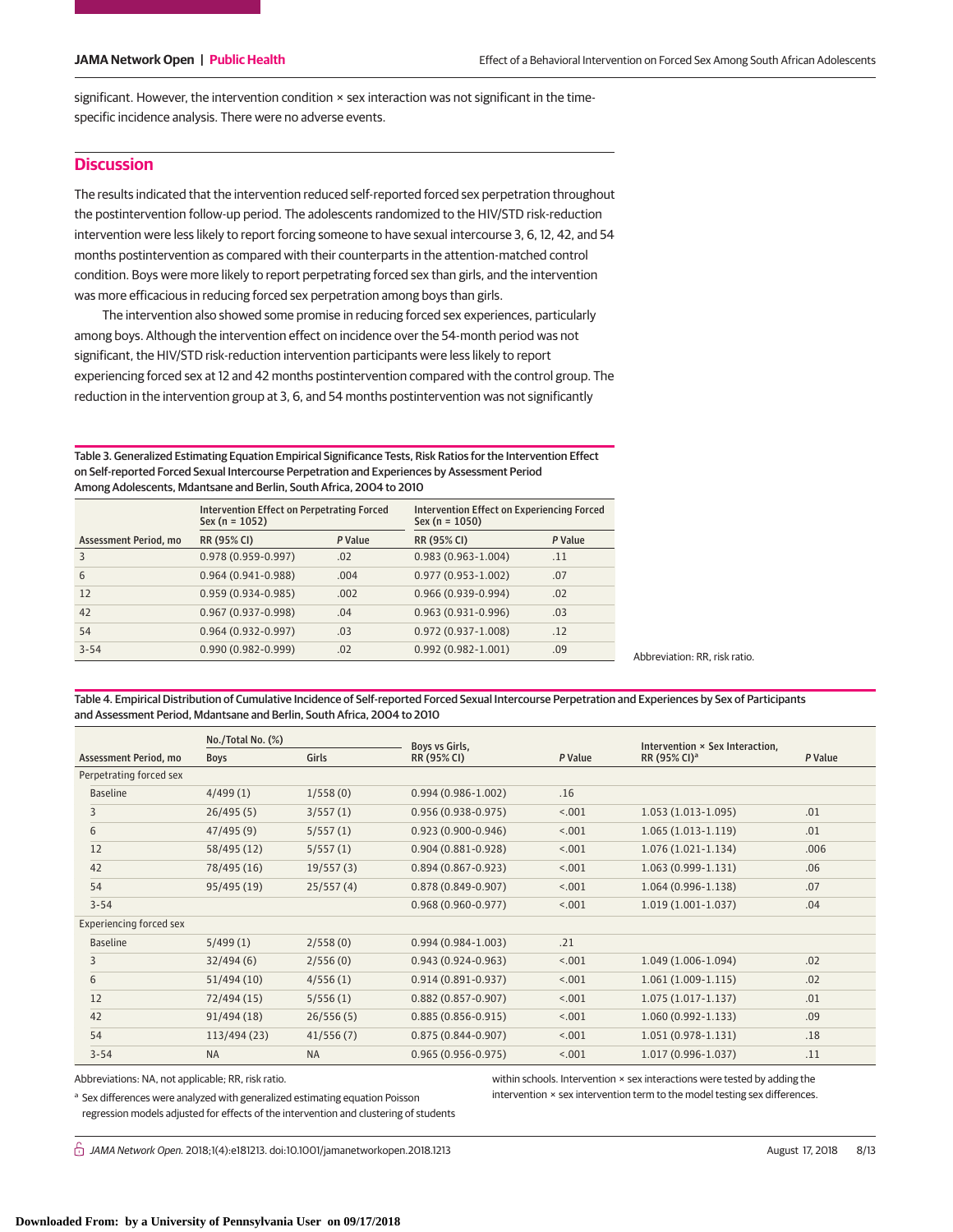significant. However, the intervention condition  $\times$  sex interaction was not significant in the timespecific incidence analysis. There were no adverse events.

# **Discussion**

The results indicated that the intervention reduced self-reported forced sex perpetration throughout the postintervention follow-up period. The adolescents randomized to the HIV/STD risk-reduction intervention were less likely to report forcing someone to have sexual intercourse 3, 6, 12, 42, and 54 months postintervention as compared with their counterparts in the attention-matched control condition. Boys were more likely to report perpetrating forced sex than girls, and the intervention was more efficacious in reducing forced sex perpetration among boys than girls.

The intervention also showed some promise in reducing forced sex experiences, particularly among boys. Although the intervention effect on incidence over the 54-month period was not significant, the HIV/STD risk-reduction intervention participants were less likely to report experiencing forced sex at 12 and 42 months postintervention compared with the control group. The reduction in the intervention group at 3, 6, and 54 months postintervention was not significantly

Table 3. Generalized Estimating Equation Empirical Significance Tests, Risk Ratios for the Intervention Effect on Self-reported Forced Sexual Intercourse Perpetration and Experiences by Assessment Period Among Adolescents, Mdantsane and Berlin, South Africa, 2004 to 2010

|                       | Intervention Effect on Perpetrating Forced<br>$Sex(n = 1052)$ |         | Intervention Effect on Experiencing Forced<br>$Sex (n = 1050)$ |         |  |
|-----------------------|---------------------------------------------------------------|---------|----------------------------------------------------------------|---------|--|
| Assessment Period, mo | RR (95% CI)                                                   | P Value | RR (95% CI)                                                    | P Value |  |
| 3                     | $0.978(0.959 - 0.997)$                                        | .02     | $0.983(0.963 - 1.004)$                                         | .11     |  |
| 6                     | $0.964(0.941 - 0.988)$                                        | .004    | $0.977(0.953 - 1.002)$                                         | .07     |  |
| 12                    | $0.959(0.934 - 0.985)$                                        | .002    | $0.966(0.939-0.994)$                                           | .02     |  |
| 42                    | $0.967(0.937 - 0.998)$                                        | .04     | $0.963(0.931-0.996)$                                           | .03     |  |
| 54                    | $0.964(0.932 - 0.997)$                                        | .03     | $0.972(0.937 - 1.008)$                                         | .12     |  |
| $3 - 54$              | $0.990(0.982 - 0.999)$                                        | .02     | $0.992(0.982 - 1.001)$                                         | .09     |  |

Abbreviation: RR, risk ratio.

# Table 4. Empirical Distribution of Cumulative Incidence of Self-reported Forced Sexual Intercourse Perpetration and Experiences by Sex of Participants and Assessment Period, Mdantsane and Berlin, South Africa, 2004 to 2010

|                         | $No./Total No.$ $(\%)$ |           | Boys vs Girls,         |         | Intervention × Sex Interaction, |         |
|-------------------------|------------------------|-----------|------------------------|---------|---------------------------------|---------|
| Assessment Period, mo   | <b>Boys</b>            | Girls     | RR (95% CI)            | P Value | RR (95% CI) <sup>a</sup>        | P Value |
| Perpetrating forced sex |                        |           |                        |         |                                 |         |
| <b>Baseline</b>         | 4/499(1)               | 1/558(0)  | $0.994(0.986 - 1.002)$ | .16     |                                 |         |
| 3                       | 26/495(5)              | 3/557(1)  | $0.956(0.938 - 0.975)$ | < .001  | $1.053(1.013-1.095)$            | .01     |
| 6                       | 47/495(9)              | 5/557(1)  | $0.923(0.900 - 0.946)$ | < .001  | $1.065(1.013-1.119)$            | .01     |
| 12                      | 58/495 (12)            | 5/557(1)  | $0.904(0.881 - 0.928)$ | < .001  | $1.076(1.021-1.134)$            | .006    |
| 42                      | 78/495 (16)            | 19/557(3) | $0.894(0.867 - 0.923)$ | < .001  | $1.063(0.999 - 1.131)$          | .06     |
| 54                      | 95/495 (19)            | 25/557(4) | $0.878(0.849 - 0.907)$ | < 0.01  | $1.064(0.996 - 1.138)$          | .07     |
| $3 - 54$                |                        |           | $0.968(0.960 - 0.977)$ | < .001  | $1.019(1.001-1.037)$            | .04     |
| Experiencing forced sex |                        |           |                        |         |                                 |         |
| <b>Baseline</b>         | 5/499(1)               | 2/558(0)  | $0.994(0.984 - 1.003)$ | .21     |                                 |         |
| 3                       | 32/494(6)              | 2/556(0)  | $0.943(0.924 - 0.963)$ | < .001  | 1.049 (1.006-1.094)             | .02     |
| 6                       | 51/494(10)             | 4/556(1)  | $0.914(0.891 - 0.937)$ | < .001  | $1.061(1.009-1.115)$            | .02     |
| 12                      | 72/494 (15)            | 5/556(1)  | $0.882(0.857 - 0.907)$ | < .001  | $1.075(1.017 - 1.137)$          | .01     |
| 42                      | 91/494(18)             | 26/556(5) | $0.885(0.856 - 0.915)$ | < .001  | $1.060(0.992 - 1.133)$          | .09     |
| 54                      | 113/494 (23)           | 41/556(7) | $0.875(0.844 - 0.907)$ | < 0.01  | $1.051(0.978-1.131)$            | .18     |
| $3 - 54$                | <b>NA</b>              | <b>NA</b> | $0.965(0.956 - 0.975)$ | < 0.01  | $1.017(0.996 - 1.037)$          | .11     |

Abbreviations: NA, not applicable; RR, risk ratio.

a Sex differences were analyzed with generalized estimating equation Poisson regression models adjusted for effects of the intervention and clustering of students within schools. Intervention × sex interactions were tested by adding the intervention × sex intervention term to the model testing sex differences.

 $\bigcap$  JAMA Network Open. 2018;1(4):e181213. doi:10.1001/jamanetworkopen.2018.1213 August 17, 2018 8/13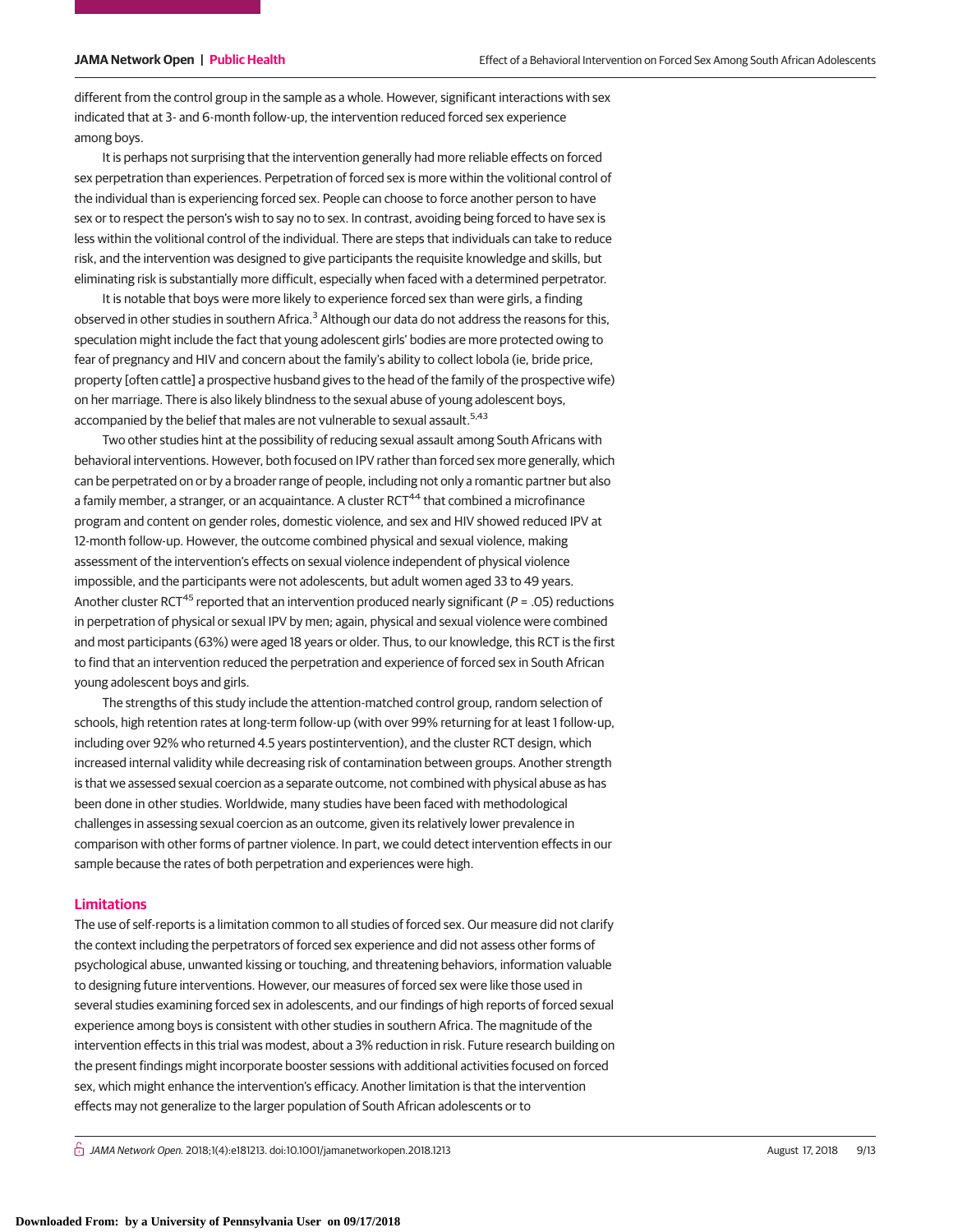different from the control group in the sample as a whole. However, significant interactions with sex indicated that at 3- and 6-month follow-up, the intervention reduced forced sex experience among boys.

It is perhaps not surprising that the intervention generally had more reliable effects on forced sex perpetration than experiences. Perpetration of forced sex is more within the volitional control of the individual than is experiencing forced sex. People can choose to force another person to have sex or to respect the person's wish to say no to sex. In contrast, avoiding being forced to have sex is less within the volitional control of the individual. There are steps that individuals can take to reduce risk, and the intervention was designed to give participants the requisite knowledge and skills, but eliminating risk is substantially more difficult, especially when faced with a determined perpetrator.

It is notable that boys were more likely to experience forced sex than were girls, a finding observed in other studies in southern Africa.3 Although our data do not address the reasons for this, speculation might include the fact that young adolescent girls' bodies are more protected owing to fear of pregnancy and HIV and concern about the family's ability to collect lobola (ie, bride price, property [often cattle] a prospective husband gives to the head of the family of the prospective wife) on her marriage. There is also likely blindness to the sexual abuse of young adolescent boys, accompanied by the belief that males are not vulnerable to sexual assault.<sup>5,43</sup>

Two other studies hint at the possibility of reducing sexual assault among South Africans with behavioral interventions. However, both focused on IPV rather than forced sex more generally, which can be perpetrated on or by a broader range of people, including not only a romantic partner but also a family member, a stranger, or an acquaintance. A cluster RCT<sup>44</sup> that combined a microfinance program and content on gender roles, domestic violence, and sex and HIV showed reduced IPV at 12-month follow-up. However, the outcome combined physical and sexual violence, making assessment of the intervention's effects on sexual violence independent of physical violence impossible, and the participants were not adolescents, but adult women aged 33 to 49 years. Another cluster RCT<sup>45</sup> reported that an intervention produced nearly significant ( $P = .05$ ) reductions in perpetration of physical or sexual IPV by men; again, physical and sexual violence were combined and most participants (63%) were aged 18 years or older. Thus, to our knowledge, this RCT is the first to find that an intervention reduced the perpetration and experience of forced sex in South African young adolescent boys and girls.

The strengths of this study include the attention-matched control group, random selection of schools, high retention rates at long-term follow-up (with over 99% returning for at least 1 follow-up, including over 92% who returned 4.5 years postintervention), and the cluster RCT design, which increased internal validity while decreasing risk of contamination between groups. Another strength is that we assessed sexual coercion as a separate outcome, not combined with physical abuse as has been done in other studies. Worldwide, many studies have been faced with methodological challenges in assessing sexual coercion as an outcome, given its relatively lower prevalence in comparison with other forms of partner violence. In part, we could detect intervention effects in our sample because the rates of both perpetration and experiences were high.

# **Limitations**

The use of self-reports is a limitation common to all studies of forced sex. Our measure did not clarify the context including the perpetrators of forced sex experience and did not assess other forms of psychological abuse, unwanted kissing or touching, and threatening behaviors, information valuable to designing future interventions. However, our measures of forced sex were like those used in several studies examining forced sex in adolescents, and our findings of high reports of forced sexual experience among boys is consistent with other studies in southern Africa. The magnitude of the intervention effects in this trial was modest, about a 3% reduction in risk. Future research building on the present findings might incorporate booster sessions with additional activities focused on forced sex, which might enhance the intervention's efficacy. Another limitation is that the intervention effects may not generalize to the larger population of South African adolescents or to

 $\bigcap$  JAMA Network Open. 2018;1(4):e181213. doi:10.1001/jamanetworkopen.2018.1213 August 17, 2018 9/13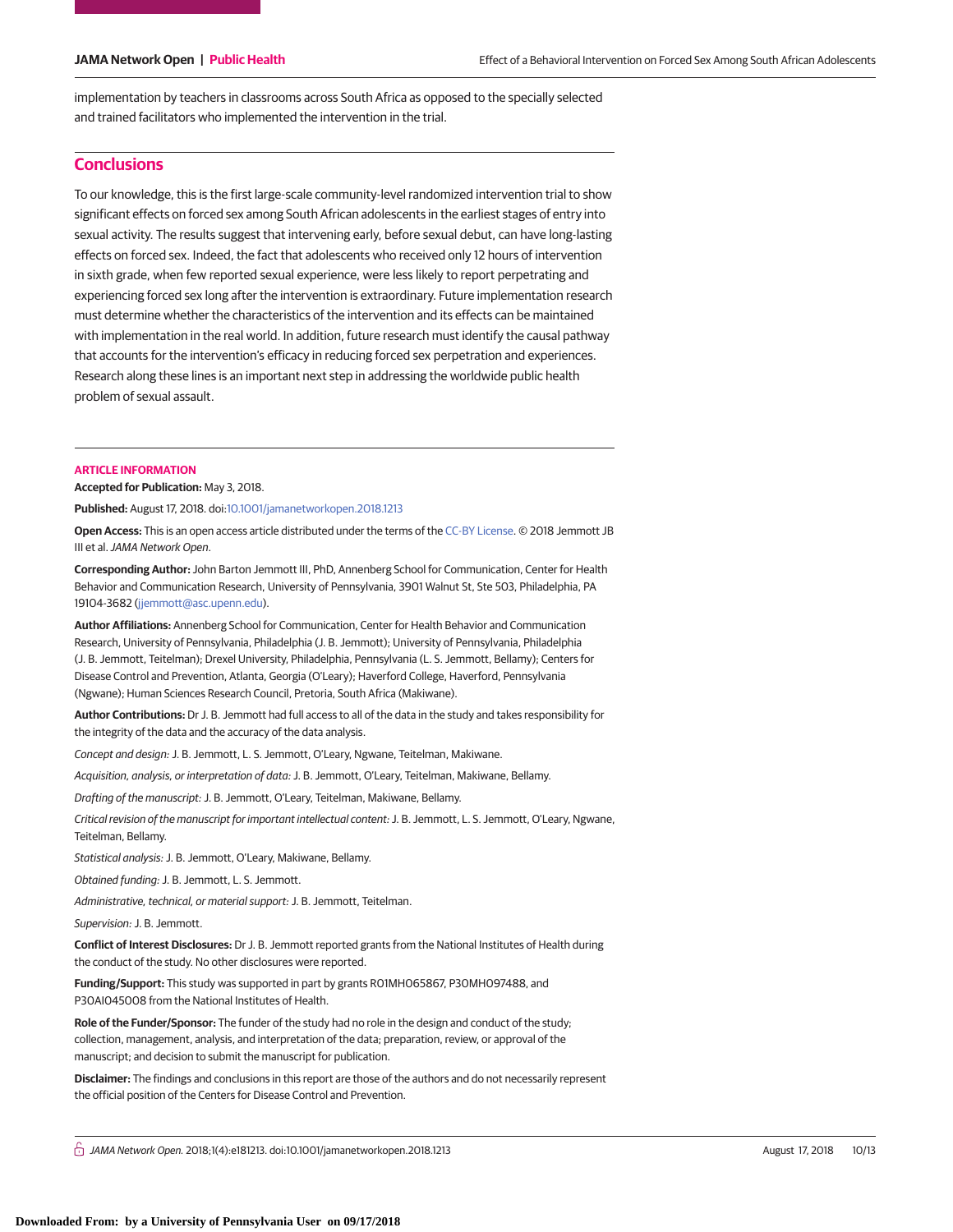implementation by teachers in classrooms across South Africa as opposed to the specially selected and trained facilitators who implemented the intervention in the trial.

# **Conclusions**

To our knowledge, this is the first large-scale community-level randomized intervention trial to show significant effects on forced sex among South African adolescents in the earliest stages of entry into sexual activity. The results suggest that intervening early, before sexual debut, can have long-lasting effects on forced sex. Indeed, the fact that adolescents who received only 12 hours of intervention in sixth grade, when few reported sexual experience, were less likely to report perpetrating and experiencing forced sex long after the intervention is extraordinary. Future implementation research must determine whether the characteristics of the intervention and its effects can be maintained with implementation in the real world. In addition, future research must identify the causal pathway that accounts for the intervention's efficacy in reducing forced sex perpetration and experiences. Research along these lines is an important next step in addressing the worldwide public health problem of sexual assault.

# **ARTICLE INFORMATION**

**Accepted for Publication:** May 3, 2018.

**Published:** August 17, 2018. doi[:10.1001/jamanetworkopen.2018.1213](https://jama.jamanetwork.com/article.aspx?doi=10.1001/jamanetworkopen.2018.1213&utm_campaign=articlePDF%26utm_medium=articlePDFlink%26utm_source=articlePDF%26utm_content=jamanetworkopen.2018.1213)

**Open Access:** This is an open access article distributed under the terms of the [CC-BY License.](https://jamanetwork.com/journals/jamanetworkopen/pages/instructions-for-authors#SecOpenAccess/?utm_campaign=articlePDF%26utm_medium=articlePDFlink%26utm_source=articlePDF%26utm_content=jamanetworkopen.2018.1213) © 2018 Jemmott JB III et al. JAMA Network Open.

**Corresponding Author:** John Barton Jemmott III, PhD, Annenberg School for Communication, Center for Health Behavior and Communication Research, University of Pennsylvania, 3901 Walnut St, Ste 503, Philadelphia, PA 19104-3682 [\(jjemmott@asc.upenn.edu\)](mailto:jjemmott@asc.upenn.edu).

**Author Affiliations:** Annenberg School for Communication, Center for Health Behavior and Communication Research, University of Pennsylvania, Philadelphia (J. B. Jemmott); University of Pennsylvania, Philadelphia (J. B. Jemmott, Teitelman); Drexel University, Philadelphia, Pennsylvania (L. S. Jemmott, Bellamy); Centers for Disease Control and Prevention, Atlanta, Georgia (O'Leary); Haverford College, Haverford, Pennsylvania (Ngwane); Human Sciences Research Council, Pretoria, South Africa (Makiwane).

**Author Contributions:** Dr J. B. Jemmott had full access to all of the data in the study and takes responsibility for the integrity of the data and the accuracy of the data analysis.

Concept and design: J. B. Jemmott, L. S. Jemmott, O'Leary, Ngwane, Teitelman, Makiwane.

Acquisition, analysis, or interpretation of data: J. B. Jemmott, O'Leary, Teitelman, Makiwane, Bellamy.

Drafting of the manuscript: J. B. Jemmott, O'Leary, Teitelman, Makiwane, Bellamy.

Critical revision of the manuscript for important intellectual content: J. B. Jemmott, L. S. Jemmott, O'Leary, Ngwane, Teitelman, Bellamy.

Statistical analysis: J. B. Jemmott, O'Leary, Makiwane, Bellamy.

Obtained funding: J. B. Jemmott, L. S. Jemmott.

Administrative, technical, or material support: J. B. Jemmott, Teitelman.

Supervision: J. B. Jemmott.

**Conflict of Interest Disclosures:** Dr J. B. Jemmott reported grants from the National Institutes of Health during the conduct of the study. No other disclosures were reported.

**Funding/Support:** This study was supported in part by grants R01MH065867, P30MH097488, and P30AI045008 from the National Institutes of Health.

**Role of the Funder/Sponsor:** The funder of the study had no role in the design and conduct of the study; collection, management, analysis, and interpretation of the data; preparation, review, or approval of the manuscript; and decision to submit the manuscript for publication.

**Disclaimer:** The findings and conclusions in this report are those of the authors and do not necessarily represent the official position of the Centers for Disease Control and Prevention.

 $\bigcap$  JAMA Network Open. 2018;1(4):e181213. doi:10.1001/jamanetworkopen.2018.1213 August 17, 2018 10/13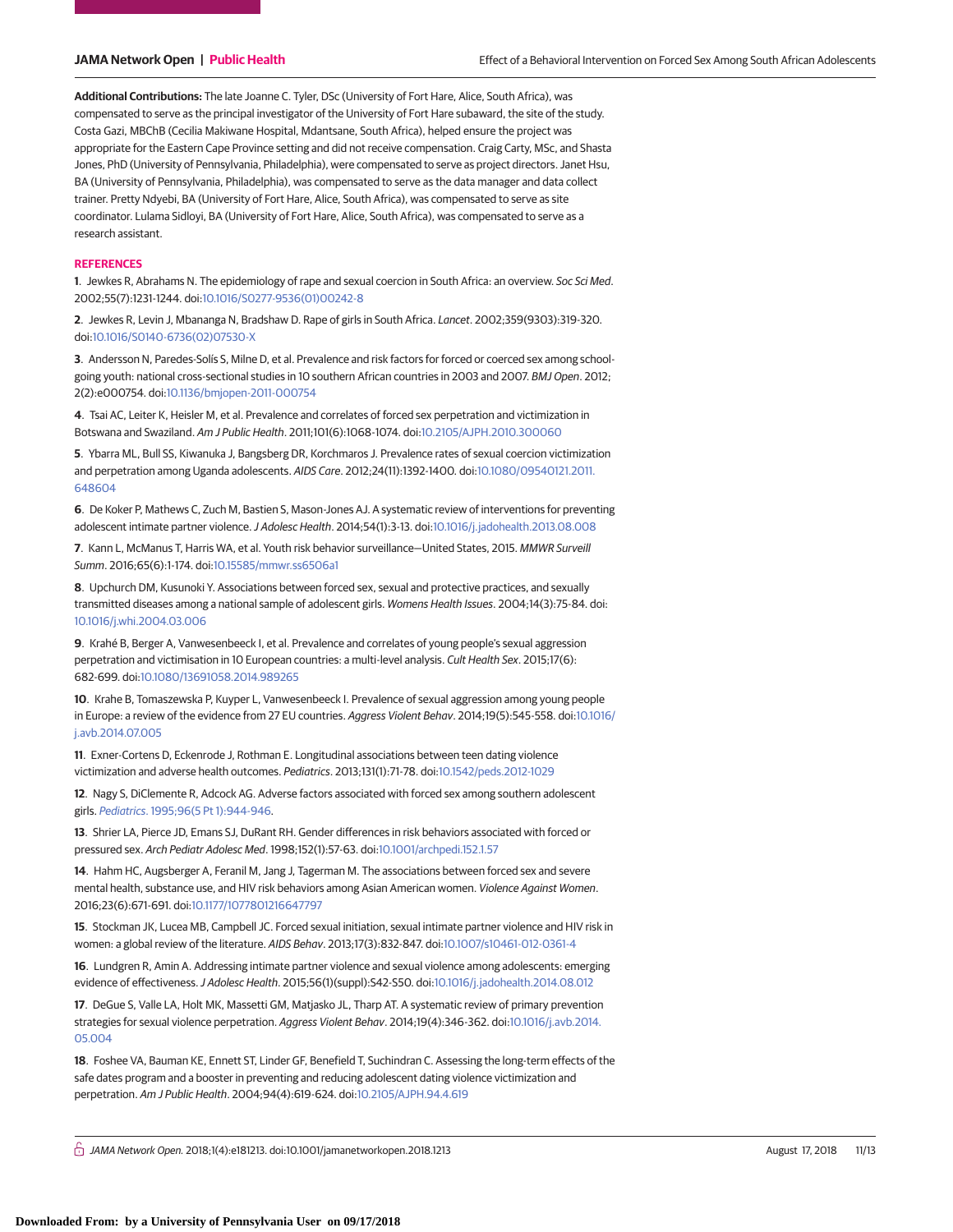**Additional Contributions:** The late Joanne C. Tyler, DSc (University of Fort Hare, Alice, South Africa), was compensated to serve as the principal investigator of the University of Fort Hare subaward, the site of the study. Costa Gazi, MBChB (Cecilia Makiwane Hospital, Mdantsane, South Africa), helped ensure the project was appropriate for the Eastern Cape Province setting and did not receive compensation. Craig Carty, MSc, and Shasta Jones, PhD (University of Pennsylvania, Philadelphia), were compensated to serve as project directors. Janet Hsu, BA (University of Pennsylvania, Philadelphia), was compensated to serve as the data manager and data collect trainer. Pretty Ndyebi, BA (University of Fort Hare, Alice, South Africa), was compensated to serve as site coordinator. Lulama Sidloyi, BA (University of Fort Hare, Alice, South Africa), was compensated to serve as a research assistant.

### **REFERENCES**

**1**. Jewkes R, Abrahams N. The epidemiology of rape and sexual coercion in South Africa: an overview. Soc Sci Med. 2002;55(7):1231-1244. doi[:10.1016/S0277-9536\(01\)00242-8](https://dx.doi.org/10.1016/S0277-9536(01)00242-8)

**2**. Jewkes R, Levin J, Mbananga N, Bradshaw D. Rape of girls in South Africa. Lancet. 2002;359(9303):319-320. doi[:10.1016/S0140-6736\(02\)07530-X](https://dx.doi.org/10.1016/S0140-6736(02)07530-X)

**3**. Andersson N, Paredes-Solís S, Milne D, et al. Prevalence and risk factors for forced or coerced sex among schoolgoing youth: national cross-sectional studies in 10 southern African countries in 2003 and 2007. BMJ Open. 2012; 2(2):e000754. doi[:10.1136/bmjopen-2011-000754](https://dx.doi.org/10.1136/bmjopen-2011-000754)

**4**. Tsai AC, Leiter K, Heisler M, et al. Prevalence and correlates of forced sex perpetration and victimization in Botswana and Swaziland. Am J Public Health. 2011;101(6):1068-1074. doi[:10.2105/AJPH.2010.300060](https://dx.doi.org/10.2105/AJPH.2010.300060)

**5**. Ybarra ML, Bull SS, Kiwanuka J, Bangsberg DR, Korchmaros J. Prevalence rates of sexual coercion victimization and perpetration among Uganda adolescents. AIDS Care. 2012;24(11):1392-1400. doi[:10.1080/09540121.2011.](https://dx.doi.org/10.1080/09540121.2011.648604) [648604](https://dx.doi.org/10.1080/09540121.2011.648604)

**6**. De Koker P, Mathews C, Zuch M, Bastien S, Mason-Jones AJ. A systematic review of interventions for preventing adolescent intimate partner violence.J Adolesc Health. 2014;54(1):3-13. doi[:10.1016/j.jadohealth.2013.08.008](https://dx.doi.org/10.1016/j.jadohealth.2013.08.008)

**7**. Kann L, McManus T, Harris WA, et al. Youth risk behavior surveillance—United States, 2015. MMWR Surveill Summ. 2016;65(6):1-174. doi[:10.15585/mmwr.ss6506a1](https://dx.doi.org/10.15585/mmwr.ss6506a1)

**8**. Upchurch DM, Kusunoki Y. Associations between forced sex, sexual and protective practices, and sexually transmitted diseases among a national sample of adolescent girls. Womens Health Issues. 2004;14(3):75-84. doi: [10.1016/j.whi.2004.03.006](https://dx.doi.org/10.1016/j.whi.2004.03.006)

**9**. Krahé B, Berger A, Vanwesenbeeck I, et al. Prevalence and correlates of young people's sexual aggression perpetration and victimisation in 10 European countries: a multi-level analysis. Cult Health Sex. 2015;17(6): 682-699. doi[:10.1080/13691058.2014.989265](https://dx.doi.org/10.1080/13691058.2014.989265)

**10**. Krahe B, Tomaszewska P, Kuyper L, Vanwesenbeeck I. Prevalence of sexual aggression among young people in Europe: a review of the evidence from 27 EU countries. Aggress Violent Behav. 2014;19(5):545-558. doi[:10.1016/](https://dx.doi.org/10.1016/j.avb.2014.07.005) [j.avb.2014.07.005](https://dx.doi.org/10.1016/j.avb.2014.07.005)

**11**. Exner-Cortens D, Eckenrode J, Rothman E. Longitudinal associations between teen dating violence victimization and adverse health outcomes. Pediatrics. 2013;131(1):71-78. doi[:10.1542/peds.2012-1029](https://dx.doi.org/10.1542/peds.2012-1029)

**12**. Nagy S, DiClemente R, Adcock AG. Adverse factors associated with forced sex among southern adolescent girls. Pediatrics[. 1995;96\(5 Pt 1\):944-946.](https://www.ncbi.nlm.nih.gov/pubmed/7478840)

**13**. Shrier LA, Pierce JD, Emans SJ, DuRant RH. Gender differences in risk behaviors associated with forced or pressured sex. Arch Pediatr Adolesc Med. 1998;152(1):57-63. doi[:10.1001/archpedi.152.1.57](https://jama.jamanetwork.com/article.aspx?doi=10.1001/archpedi.152.1.57&utm_campaign=articlePDF%26utm_medium=articlePDFlink%26utm_source=articlePDF%26utm_content=jamanetworkopen.2018.1213)

**14**. Hahm HC, Augsberger A, Feranil M, Jang J, Tagerman M. The associations between forced sex and severe mental health, substance use, and HIV risk behaviors among Asian American women. Violence Against Women. 2016;23(6):671-691. doi[:10.1177/1077801216647797](https://dx.doi.org/10.1177/1077801216647797)

**15**. Stockman JK, Lucea MB, Campbell JC. Forced sexual initiation, sexual intimate partner violence and HIV risk in women: a global review of the literature. AIDS Behav. 2013;17(3):832-847. doi[:10.1007/s10461-012-0361-4](https://dx.doi.org/10.1007/s10461-012-0361-4)

**16**. Lundgren R, Amin A. Addressing intimate partner violence and sexual violence among adolescents: emerging evidence of effectiveness.J Adolesc Health. 2015;56(1)(suppl):S42-S50. doi[:10.1016/j.jadohealth.2014.08.012](https://dx.doi.org/10.1016/j.jadohealth.2014.08.012)

**17**. DeGue S, Valle LA, Holt MK, Massetti GM, Matjasko JL, Tharp AT. A systematic review of primary prevention strategies for sexual violence perpetration. Aggress Violent Behav. 2014;19(4):346-362. doi[:10.1016/j.avb.2014.](https://dx.doi.org/10.1016/j.avb.2014.05.004) [05.004](https://dx.doi.org/10.1016/j.avb.2014.05.004)

**18**. Foshee VA, Bauman KE, Ennett ST, Linder GF, Benefield T, Suchindran C. Assessing the long-term effects of the safe dates program and a booster in preventing and reducing adolescent dating violence victimization and perpetration. Am J Public Health. 2004;94(4):619-624. doi[:10.2105/AJPH.94.4.619](https://dx.doi.org/10.2105/AJPH.94.4.619)

 $\bigcap$  JAMA Network Open. 2018;1(4):e181213. doi:10.1001/jamanetworkopen.2018.1213 August 17, 2018 11/13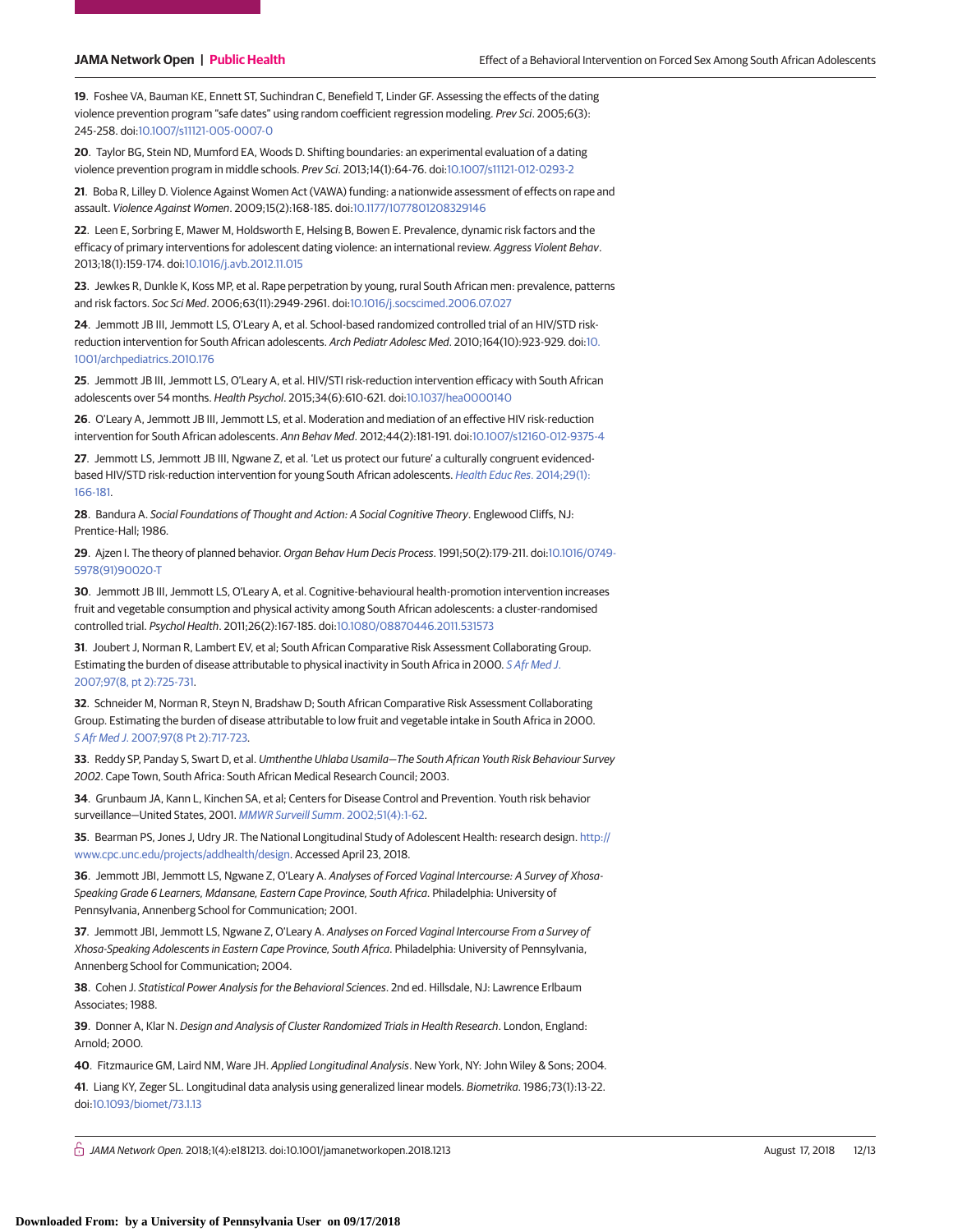**19**. Foshee VA, Bauman KE, Ennett ST, Suchindran C, Benefield T, Linder GF. Assessing the effects of the dating violence prevention program "safe dates" using random coefficient regression modeling. Prev Sci. 2005;6(3): 245-258. doi[:10.1007/s11121-005-0007-0](https://dx.doi.org/10.1007/s11121-005-0007-0)

**20**. Taylor BG, Stein ND, Mumford EA, Woods D. Shifting boundaries: an experimental evaluation of a dating violence prevention program in middle schools. Prev Sci. 2013;14(1):64-76. doi[:10.1007/s11121-012-0293-2](https://dx.doi.org/10.1007/s11121-012-0293-2)

**21**. Boba R, Lilley D. Violence Against Women Act (VAWA) funding: a nationwide assessment of effects on rape and assault. Violence Against Women. 2009;15(2):168-185. doi[:10.1177/1077801208329146](https://dx.doi.org/10.1177/1077801208329146)

**22**. Leen E, Sorbring E, Mawer M, Holdsworth E, Helsing B, Bowen E. Prevalence, dynamic risk factors and the efficacy of primary interventions for adolescent dating violence: an international review. Aggress Violent Behav. 2013;18(1):159-174. doi[:10.1016/j.avb.2012.11.015](https://dx.doi.org/10.1016/j.avb.2012.11.015)

**23**. Jewkes R, Dunkle K, Koss MP, et al. Rape perpetration by young, rural South African men: prevalence, patterns and risk factors. Soc Sci Med. 2006;63(11):2949-2961. doi[:10.1016/j.socscimed.2006.07.027](https://dx.doi.org/10.1016/j.socscimed.2006.07.027)

**24**. Jemmott JB III, Jemmott LS, O'Leary A, et al. School-based randomized controlled trial of an HIV/STD riskreduction intervention for South African adolescents. Arch Pediatr Adolesc Med. 2010;164(10):923-929. doi[:10.](https://jama.jamanetwork.com/article.aspx?doi=10.1001/archpediatrics.2010.176&utm_campaign=articlePDF%26utm_medium=articlePDFlink%26utm_source=articlePDF%26utm_content=jamanetworkopen.2018.1213) [1001/archpediatrics.2010.176](https://jama.jamanetwork.com/article.aspx?doi=10.1001/archpediatrics.2010.176&utm_campaign=articlePDF%26utm_medium=articlePDFlink%26utm_source=articlePDF%26utm_content=jamanetworkopen.2018.1213)

**25**. Jemmott JB III, Jemmott LS, O'Leary A, et al. HIV/STI risk-reduction intervention efficacy with South African adolescents over 54 months. Health Psychol. 2015;34(6):610-621. doi[:10.1037/hea0000140](https://dx.doi.org/10.1037/hea0000140)

**26**. O'Leary A, Jemmott JB III, Jemmott LS, et al. Moderation and mediation of an effective HIV risk-reduction intervention for South African adolescents. Ann Behav Med. 2012;44(2):181-191. doi[:10.1007/s12160-012-9375-4](https://dx.doi.org/10.1007/s12160-012-9375-4)

**27**. Jemmott LS, Jemmott JB III, Ngwane Z, et al. 'Let us protect our future' a culturally congruent evidencedbased HIV/STD risk-reduction intervention for young South African adolescents. [Health Educ Res](https://www.ncbi.nlm.nih.gov/pubmed/23962491). 2014;29(1): [166-181.](https://www.ncbi.nlm.nih.gov/pubmed/23962491)

**28**. Bandura A. Social Foundations of Thought and Action: A Social Cognitive Theory. Englewood Cliffs, NJ: Prentice-Hall; 1986.

**29**. Ajzen I. The theory of planned behavior. Organ Behav Hum Decis Process. 1991;50(2):179-211. doi[:10.1016/0749-](https://dx.doi.org/10.1016/0749-5978(91)90020-T) [5978\(91\)90020-T](https://dx.doi.org/10.1016/0749-5978(91)90020-T)

**30**. Jemmott JB III, Jemmott LS, O'Leary A, et al. Cognitive-behavioural health-promotion intervention increases fruit and vegetable consumption and physical activity among South African adolescents: a cluster-randomised controlled trial. Psychol Health. 2011;26(2):167-185. doi[:10.1080/08870446.2011.531573](https://dx.doi.org/10.1080/08870446.2011.531573)

**31**. Joubert J, Norman R, Lambert EV, et al; South African Comparative Risk Assessment Collaborating Group. Estimating the burden of disease attributable to physical inactivity in South Africa in 2000. [S Afr Med J](https://www.ncbi.nlm.nih.gov/pubmed/17952230). [2007;97\(8, pt 2\):725-731.](https://www.ncbi.nlm.nih.gov/pubmed/17952230)

**32**. Schneider M, Norman R, Steyn N, Bradshaw D; South African Comparative Risk Assessment Collaborating Group. Estimating the burden of disease attributable to low fruit and vegetable intake in South Africa in 2000. S Afr Med J[. 2007;97\(8 Pt 2\):717-723.](https://www.ncbi.nlm.nih.gov/pubmed/17952229)

**33**. Reddy SP, Panday S, Swart D, et al. Umthenthe Uhlaba Usamila—The South African Youth Risk Behaviour Survey 2002. Cape Town, South Africa: South African Medical Research Council; 2003.

**34**. Grunbaum JA, Kann L, Kinchen SA, et al; Centers for Disease Control and Prevention. Youth risk behavior surveillance—United States, 2001. [MMWR Surveill Summ](https://www.ncbi.nlm.nih.gov/pubmed/12102329). 2002;51(4):1-62.

**35**. Bearman PS, Jones J, Udry JR. The National Longitudinal Study of Adolescent Health: research design. [http://](http://www.cpc.unc.edu/projects/addhealth/design) [www.cpc.unc.edu/projects/addhealth/design.](http://www.cpc.unc.edu/projects/addhealth/design) Accessed April 23, 2018.

**36**. Jemmott JBI, Jemmott LS, Ngwane Z, O'Leary A. Analyses of Forced Vaginal Intercourse: A Survey of Xhosa-Speaking Grade 6 Learners, Mdansane, Eastern Cape Province, South Africa. Philadelphia: University of Pennsylvania, Annenberg School for Communication; 2001.

**37**. Jemmott JBI, Jemmott LS, Ngwane Z, O'Leary A. Analyses on Forced Vaginal Intercourse From a Survey of Xhosa-Speaking Adolescents in Eastern Cape Province, South Africa. Philadelphia: University of Pennsylvania, Annenberg School for Communication; 2004.

**38**. Cohen J. Statistical Power Analysis for the Behavioral Sciences. 2nd ed. Hillsdale, NJ: Lawrence Erlbaum Associates; 1988.

**39**. Donner A, Klar N. Design and Analysis of Cluster Randomized Trials in Health Research. London, England: Arnold; 2000.

**40**. Fitzmaurice GM, Laird NM, Ware JH. Applied Longitudinal Analysis. New York, NY: John Wiley & Sons; 2004.

**41**. Liang KY, Zeger SL. Longitudinal data analysis using generalized linear models. Biometrika. 1986;73(1):13-22. doi[:10.1093/biomet/73.1.13](https://dx.doi.org/10.1093/biomet/73.1.13)

 $\bigcap$  JAMA Network Open. 2018;1(4):e181213. doi:10.1001/jamanetworkopen.2018.1213 August 17, 2018 12/13